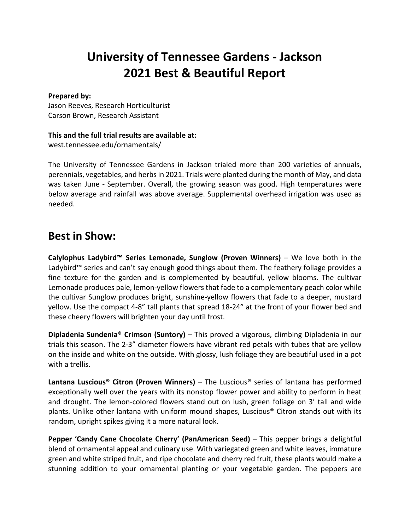# **University of Tennessee Gardens - Jackson 2021 Best & Beautiful Report**

#### **Prepared by:**

Jason Reeves, Research Horticulturist Carson Brown, Research Assistant

#### **This and the full trial results are available at:**

west.tennessee.edu/ornamentals/

The University of Tennessee Gardens in Jackson trialed more than 200 varieties of annuals, perennials, vegetables, and herbs in 2021. Trials were planted during the month of May, and data was taken June - September. Overall, the growing season was good. High temperatures were below average and rainfall was above average. Supplemental overhead irrigation was used as needed.

### **Best in Show:**

**Calylophus Ladybird™ Series Lemonade, Sunglow (Proven Winners)** – We love both in the Ladybird™ series and can't say enough good things about them. The feathery foliage provides a fine texture for the garden and is complemented by beautiful, yellow blooms. The cultivar Lemonade produces pale, lemon-yellow flowers that fade to a complementary peach color while the cultivar Sunglow produces bright, sunshine-yellow flowers that fade to a deeper, mustard yellow. Use the compact 4-8" tall plants that spread 18-24" at the front of your flower bed and these cheery flowers will brighten your day until frost.

**Dipladenia Sundenia® Crimson (Suntory)** – This proved a vigorous, climbing Dipladenia in our trials this season. The 2-3" diameter flowers have vibrant red petals with tubes that are yellow on the inside and white on the outside. With glossy, lush foliage they are beautiful used in a pot with a trellis.

**Lantana Luscious® Citron (Proven Winners)** – The Luscious® series of lantana has performed exceptionally well over the years with its nonstop flower power and ability to perform in heat and drought. The lemon-colored flowers stand out on lush, green foliage on 3' tall and wide plants. Unlike other lantana with uniform mound shapes, Luscious® Citron stands out with its random, upright spikes giving it a more natural look.

**Pepper 'Candy Cane Chocolate Cherry' (PanAmerican Seed)** – This pepper brings a delightful blend of ornamental appeal and culinary use. With variegated green and white leaves, immature green and white striped fruit, and ripe chocolate and cherry red fruit, these plants would make a stunning addition to your ornamental planting or your vegetable garden. The peppers are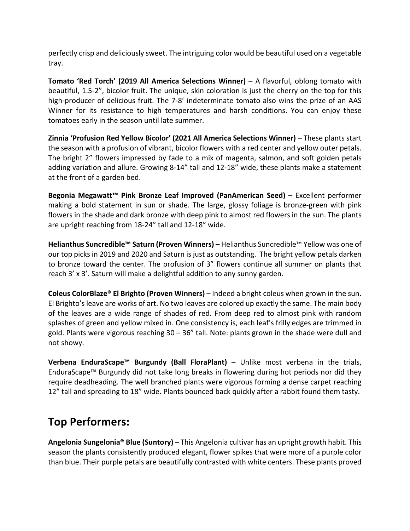perfectly crisp and deliciously sweet. The intriguing color would be beautiful used on a vegetable tray.

**Tomato 'Red Torch' (2019 All America Selections Winner)** – A flavorful, oblong tomato with beautiful, 1.5-2", bicolor fruit. The unique, skin coloration is just the cherry on the top for this high-producer of delicious fruit. The 7-8' indeterminate tomato also wins the prize of an AAS Winner for its resistance to high temperatures and harsh conditions. You can enjoy these tomatoes early in the season until late summer.

**Zinnia 'Profusion Red Yellow Bicolor' (2021 All America Selections Winner)** – These plants start the season with a profusion of vibrant, bicolor flowers with a red center and yellow outer petals. The bright 2" flowers impressed by fade to a mix of magenta, salmon, and soft golden petals adding variation and allure. Growing 8-14" tall and 12-18" wide, these plants make a statement at the front of a garden bed.

**Begonia Megawatt™ Pink Bronze Leaf Improved (PanAmerican Seed)** – Excellent performer making a bold statement in sun or shade. The large, glossy foliage is bronze-green with pink flowers in the shade and dark bronze with deep pink to almost red flowers in the sun. The plants are upright reaching from 18-24" tall and 12-18" wide.

**Helianthus Suncredible™ Saturn (Proven Winners)** – Helianthus Suncredible™ Yellow was one of our top picks in 2019 and 2020 and Saturn is just as outstanding. The bright yellow petals darken to bronze toward the center. The profusion of 3" flowers continue all summer on plants that reach 3' x 3'. Saturn will make a delightful addition to any sunny garden.

**Coleus ColorBlaze® El Brighto (Proven Winners)** – Indeed a bright coleus when grown in the sun. El Brighto's leave are works of art. No two leaves are colored up exactly the same. The main body of the leaves are a wide range of shades of red. From deep red to almost pink with random splashes of green and yellow mixed in. One consistency is, each leaf's frilly edges are trimmed in gold. Plants were vigorous reaching 30 – 36" tall. Note: plants grown in the shade were dull and not showy.

**Verbena EnduraScape™ Burgundy (Ball FloraPlant)** – Unlike most verbena in the trials, EnduraScape™ Burgundy did not take long breaks in flowering during hot periods nor did they require deadheading. The well branched plants were vigorous forming a dense carpet reaching 12" tall and spreading to 18" wide. Plants bounced back quickly after a rabbit found them tasty.

## **Top Performers:**

**Angelonia Sungelonia® Blue (Suntory)** – This Angelonia cultivar has an upright growth habit. This season the plants consistently produced elegant, flower spikes that were more of a purple color than blue. Their purple petals are beautifully contrasted with white centers. These plants proved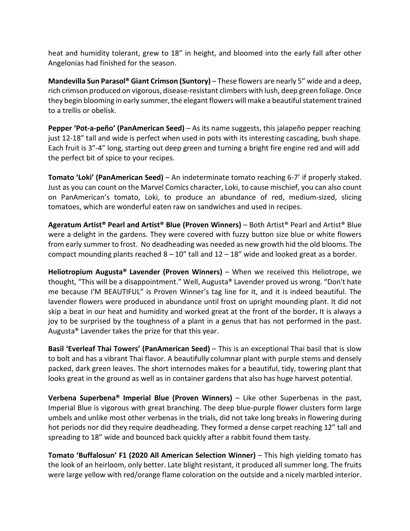heat and humidity tolerant, grew to 18" in height, and bloomed into the early fall after other Angelonias had finished for the season.

**Mandevilla Sun Parasol® Giant Crimson (Suntory)** – These flowers are nearly 5" wide and a deep, rich crimson produced on vigorous, disease-resistant climbers with lush, deep green foliage. Once they begin blooming in early summer, the elegant flowers will make a beautiful statement trained to a trellis or obelisk.

**Pepper 'Pot-a-peño' (PanAmerican Seed)** – As its name suggests, this jalapeño pepper reaching just 12-18" tall and wide is perfect when used in pots with its interesting cascading, bush shape. Each fruit is 3"-4" long, starting out deep green and turning a bright fire engine red and will add the perfect bit of spice to your recipes.

**Tomato 'Loki' (PanAmerican Seed)** – An indeterminate tomato reaching 6-7' if properly staked. Just as you can count on the Marvel Comics character, Loki, to cause mischief, you can also count on PanAmerican's tomato, Loki, to produce an abundance of red, medium-sized, slicing tomatoes, which are wonderful eaten raw on sandwiches and used in recipes.

**Ageratum Artist® Pearl and Artist® Blue (Proven Winners)** – Both Artist® Pearl and Artist® Blue were a delight in the gardens. They were covered with fuzzy button size blue or white flowers from early summer to frost. No deadheading was needed as new growth hid the old blooms. The compact mounding plants reached  $8 - 10$ " tall and  $12 - 18$ " wide and looked great as a border.

**Heliotropium Augusta® Lavender (Proven Winners)** – When we received this Heliotrope, we thought, "This will be a disappointment." Well, Augusta® Lavender proved us wrong. "Don't hate me because I'M BEAUTIFUL" is Proven Winner's tag line for it, and it is indeed beautiful. The lavender flowers were produced in abundance until frost on upright mounding plant. It did not skip a beat in our heat and humidity and worked great at the front of the border**.** It is always a joy to be surprised by the toughness of a plant in a genus that has not performed in the past. Augusta® Lavender takes the prize for that this year.

**Basil 'Everleaf Thai Towers' (PanAmerican Seed)** – This is an exceptional Thai basil that is slow to bolt and has a vibrant Thai flavor. A beautifully columnar plant with purple stems and densely packed, dark green leaves. The short internodes makes for a beautiful, tidy, towering plant that looks great in the ground as well as in container gardens that also has huge harvest potential.

**Verbena Superbena® Imperial Blue (Proven Winners)** – Like other Superbenas in the past, Imperial Blue is vigorous with great branching. The deep blue-purple flower clusters form large umbels and unlike most other verbenas in the trials, did not take long breaks in flowering during hot periods nor did they require deadheading. They formed a dense carpet reaching 12" tall and spreading to 18" wide and bounced back quickly after a rabbit found them tasty.

**Tomato 'Buffalosun' F1 (2020 All American Selection Winner)** – This high yielding tomato has the look of an heirloom, only better. Late blight resistant, it produced all summer long. The fruits were large yellow with red/orange flame coloration on the outside and a nicely marbled interior.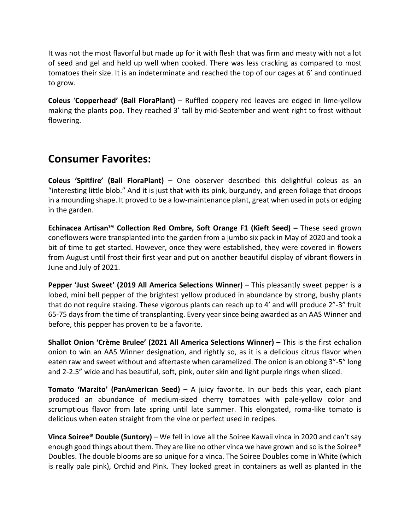It was not the most flavorful but made up for it with flesh that was firm and meaty with not a lot of seed and gel and held up well when cooked. There was less cracking as compared to most tomatoes their size. It is an indeterminate and reached the top of our cages at 6' and continued to grow.

**Coleus** '**Copperhead' (Ball FloraPlant)** – Ruffled coppery red leaves are edged in lime-yellow making the plants pop. They reached 3' tall by mid-September and went right to frost without flowering.

### **Consumer Favorites:**

**Coleus 'Spitfire' (Ball FloraPlant) –** One observer described this delightful coleus as an "interesting little blob." And it is just that with its pink, burgundy, and green foliage that droops in a mounding shape. It proved to be a low-maintenance plant, great when used in pots or edging in the garden.

**Echinacea Artisan™ Collection Red Ombre, Soft Orange F1 (Kieft Seed) –** These seed grown coneflowers were transplanted into the garden from a jumbo six pack in May of 2020 and took a bit of time to get started. However, once they were established, they were covered in flowers from August until frost their first year and put on another beautiful display of vibrant flowers in June and July of 2021.

**Pepper 'Just Sweet' (2019 All America Selections Winner)** – This pleasantly sweet pepper is a lobed, mini bell pepper of the brightest yellow produced in abundance by strong, bushy plants that do not require staking. These vigorous plants can reach up to 4' and will produce 2"-3" fruit 65-75 days from the time of transplanting. Every year since being awarded as an AAS Winner and before, this pepper has proven to be a favorite.

**Shallot Onion 'Crème Brulee' (2021 All America Selections Winner)** – This is the first echalion onion to win an AAS Winner designation, and rightly so, as it is a delicious citrus flavor when eaten raw and sweet without and aftertaste when caramelized. The onion is an oblong 3"-5" long and 2-2.5" wide and has beautiful, soft, pink, outer skin and light purple rings when sliced.

**Tomato 'Marzito' (PanAmerican Seed)** – A juicy favorite. In our beds this year, each plant produced an abundance of medium-sized cherry tomatoes with pale-yellow color and scrumptious flavor from late spring until late summer. This elongated, roma-like tomato is delicious when eaten straight from the vine or perfect used in recipes.

**Vinca Soiree® Double (Suntory)** – We fell in love all the Soiree Kawaii vinca in 2020 and can't say enough good things about them. They are like no other vinca we have grown and so is the Soiree® Doubles. The double blooms are so unique for a vinca. The Soiree Doubles come in White (which is really pale pink), Orchid and Pink. They looked great in containers as well as planted in the